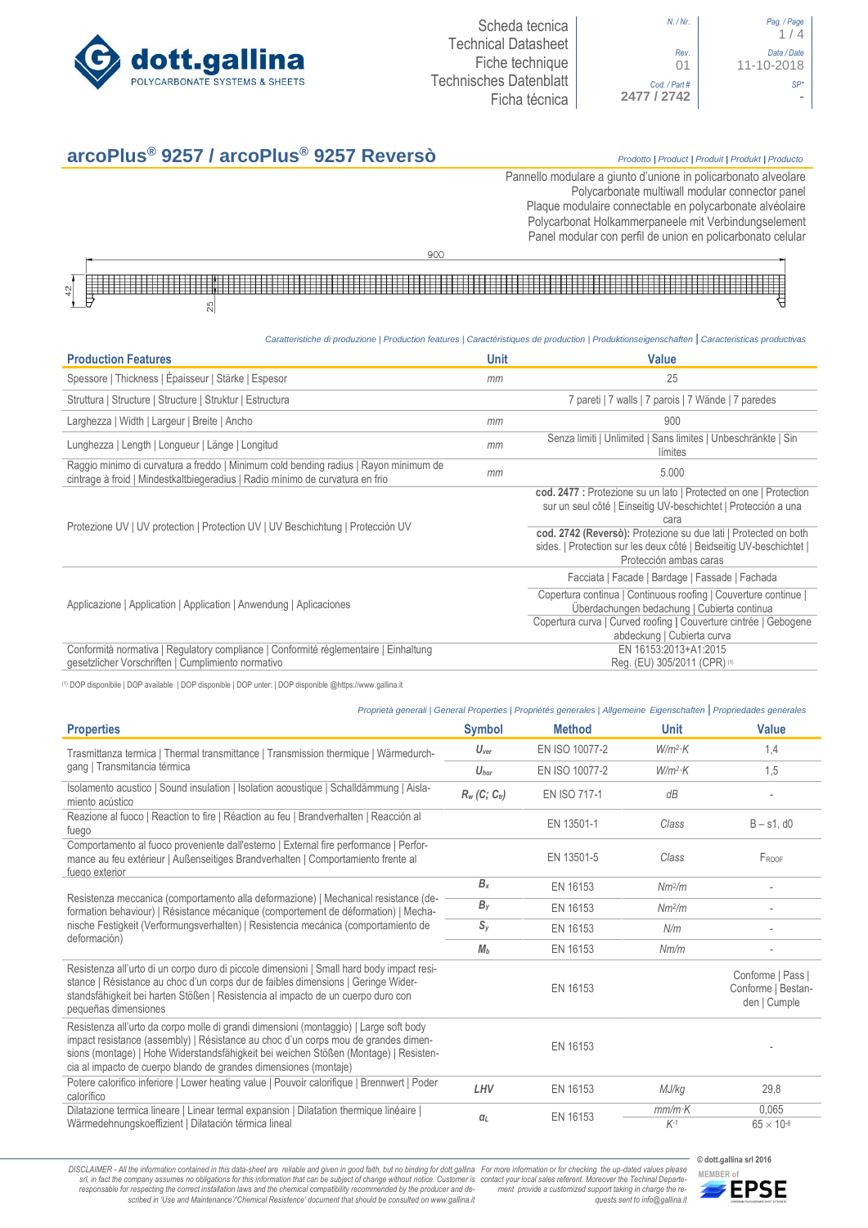

```
N. / Nr. Pag. / Page
                      Rev. Data / Date
           Cod. / Part #
2477 / 2742 -
```

| / Nr.      | Pag. / Page<br>1/4        |
|------------|---------------------------|
| Rev.<br>01 | Data / Date<br>11-10-2018 |
| art#<br>42 |                           |
|            |                           |

# **arcoPlus® 9257 / arcoPlus® 9257 Reversò** *Prodotto <sup>|</sup> Product <sup>|</sup> Produit <sup>|</sup> Produkt <sup>|</sup> Producto*

Pannello modulare a giunto d'unione in policarbonato alveolare Polycarbonate multiwall modular connector panel Plaque modulaire connectable en polycarbonate alvéolaire Polycarbonat Holkammerpaneele mit Verbindungselement [Panel modular con perfil de union en policarbonato c](http://www.google.it/url?sa=t&rct=j&q=&esrc=s&source=web&cd=6&ved=0ahUKEwiPyOW6w_3PAhXLORoKHXbkAhUQFggtMAU&url=http%3A%2F%2Fwww.getsl.com%2Fes%2Fmateriales-construccion%2Fsabic-policarbonato%2Fplaca-solida%2Flexan-exell-d-placa-translucida%2F&usg=AFQjCNF4aMpg9CRcF79iWWH-XBKKMH3eWA&bvm=bv.136811127,d.bGs)elular



# *Caratteristiche di produzione | Production features | Caractéristiques de production | Produktionseigenschaften* **|** *Caracteristicas productivas*

| <b>Production Features</b>                                                                                                                                            | <b>Unit</b> | <b>Value</b>                                                                                                                                                                                                     |
|-----------------------------------------------------------------------------------------------------------------------------------------------------------------------|-------------|------------------------------------------------------------------------------------------------------------------------------------------------------------------------------------------------------------------|
| Spessore   Thickness   Épaisseur   Stärke   Espesor                                                                                                                   | mm          | 25                                                                                                                                                                                                               |
| Struttura   Structure   Structure   Struktur   Estructura                                                                                                             |             | 7 pareti   7 walls   7 parois   7 Wände   7 paredes                                                                                                                                                              |
| Larghezza   Width   Largeur   Breite   Ancho                                                                                                                          | mm          | 900                                                                                                                                                                                                              |
| Lunghezza   Length   Longueur   Länge   Longitud                                                                                                                      | mm          | Senza limiti   Unlimited   Sans limites   Unbeschränkte   Sin<br>límites                                                                                                                                         |
| Raggio minimo di curvatura a freddo   Minimum cold bending radius   Rayon minimum de<br>cintrage à froid   Mindestkaltbiegeradius   Radio mínimo de curvatura en frio | mm          | 5.000                                                                                                                                                                                                            |
|                                                                                                                                                                       |             | cod. 2477 : Protezione su un lato   Protected on one   Protection<br>sur un seul côté   Einseitig UV-beschichtet   Protección a una<br>cara                                                                      |
| Protezione UV   UV protection   Protection UV   UV Beschichtung   Protección UV                                                                                       |             | cod. 2742 (Reversò): Protezione su due lati   Protected on both<br>sides.   Protection sur les deux côté   Beidseitig UV-beschichtet  <br>Protección ambas caras                                                 |
|                                                                                                                                                                       |             | Facciata   Facade   Bardage   Fassade   Fachada                                                                                                                                                                  |
| Applicazione   Application   Application   Anwendung   Aplicaciones                                                                                                   |             | Copertura continua   Continuous roofing   Couverture continue  <br>Überdachungen bedachung   Cubierta continua<br>Copertura curva   Curved roofing   Couverture cintrée   Gebogene<br>abdeckung   Cubierta curva |
| Conformità normativa   Regulatory compliance   Conformité réglementaire   Einhaltung<br>gesetzlicher Vorschriften   Cumplimiento normativo                            |             | EN 16153:2013+A1:2015<br>Req. (EU) 305/2011 (CPR) (1)                                                                                                                                                            |

(1) DOP disponibile | DOP available | DOP disponible | DOP unter: | DOP disponible @https://www.gallina.it

|                                                                                                                                                                                                                                                                                                                                         |                  | Proprietà generali   General Properties   Propriétés generales   Allgemeine Eigenschaften   Propriedades generales |                    |                                                         |
|-----------------------------------------------------------------------------------------------------------------------------------------------------------------------------------------------------------------------------------------------------------------------------------------------------------------------------------------|------------------|--------------------------------------------------------------------------------------------------------------------|--------------------|---------------------------------------------------------|
| <b>Properties</b>                                                                                                                                                                                                                                                                                                                       | <b>Symbol</b>    | <b>Method</b>                                                                                                      | <b>Unit</b>        | <b>Value</b>                                            |
| Trasmittanza termica   Thermal transmittance   Transmission thermique   Wärmedurch-                                                                                                                                                                                                                                                     | $U_{\text{ver}}$ | EN ISO 10077-2                                                                                                     | $W/m^2$ K          | 1,4                                                     |
| gang   Transmitancia térmica                                                                                                                                                                                                                                                                                                            | $U_{\text{hor}}$ | EN ISO 10077-2                                                                                                     | $W/m^2$ K          | 1,5                                                     |
| Isolamento acustico   Sound insulation   Isolation acoustique   Schalldämmung   Aisla-<br>miento acústico                                                                                                                                                                                                                               | $R_w(C; C_w)$    | <b>EN ISO 717-1</b>                                                                                                | dB                 |                                                         |
| Reazione al fuoco   Reaction to fire   Réaction au feu   Brandverhalten   Reacción al<br>fuego                                                                                                                                                                                                                                          |                  | EN 13501-1                                                                                                         | Class              | $B - s1$ , d $0$                                        |
| Comportamento al fuoco proveniente dall'esterno   External fire performance   Perfor-<br>mance au feu extérieur   Außenseitiges Brandverhalten   Comportamiento frente al<br>fuego exterior                                                                                                                                             |                  | EN 13501-5                                                                                                         | Class              | FROOF                                                   |
|                                                                                                                                                                                                                                                                                                                                         | $B_x$            | EN 16153                                                                                                           | Nm <sup>2</sup> /m |                                                         |
| Resistenza meccanica (comportamento alla deformazione)   Mechanical resistance (de-<br>formation behaviour)   Résistance mécanique (comportement de déformation)   Mecha-                                                                                                                                                               | $B_{V}$          | EN 16153                                                                                                           | Nm <sup>2</sup> /m |                                                         |
| nische Festigkeit (Verformungsverhalten)   Resistencia mecánica (comportamiento de<br>deformación)                                                                                                                                                                                                                                      | $S_{V}$          | EN 16153                                                                                                           | N/m                |                                                         |
|                                                                                                                                                                                                                                                                                                                                         | M <sub>b</sub>   | EN 16153                                                                                                           | Nm/m               |                                                         |
| Resistenza all'urto di un corpo duro di piccole dimensioni   Small hard body impact resi-<br>stance   Résistance au choc d'un corps dur de faibles dimensions   Geringe Wider-<br>standsfähigkeit bei harten Stößen   Resistencia al impacto de un cuerpo duro con<br>pequeñas dimensiones                                              |                  | EN 16153                                                                                                           |                    | Conforme   Pass  <br>Conforme   Bestan-<br>den   Cumple |
| Resistenza all'urto da corpo molle di grandi dimensioni (montaggio)   Large soft body<br>impact resistance (assembly)   Résistance au choc d'un corps mou de grandes dimen-<br>sions (montage)   Hohe Widerstandsfähigkeit bei weichen Stößen (Montage)   Resisten-<br>cia al impacto de cuerpo blando de grandes dimensiones (montaje) |                  | EN 16153                                                                                                           |                    |                                                         |
| Potere calorifico inferiore   Lower heating value   Pouvoir calorifique   Brennwert   Poder<br>calorífico                                                                                                                                                                                                                               | LHV              | EN 16153                                                                                                           | MJ/kg              | 29,8                                                    |
| Dilatazione termica lineare   Linear termal expansion   Dilatation thermique linéaire  <br>Wärmedehnungskoeffizient   Dilatación térmica lineal                                                                                                                                                                                         | $\alpha_L$       | EN 16153                                                                                                           | $mm/m$ K<br>$K-1$  | 0,065                                                   |
|                                                                                                                                                                                                                                                                                                                                         |                  |                                                                                                                    |                    | $65 \times 10^{-6}$                                     |

DISCLAIMER - All the information contained in this data-sheet are reliable and given in good faith, but no binding for dott.gallina For more information or for checking the up-dated values please<br>-srl, in fact the company -responsable for respecting the correct installation laws and the chemical compatibility recommended by the producer and de-<br>scribed in 'Use and Maintenance'/\*Chemical Resistence' document that should be consulted on www.g *ment provide a customized support taking in charge the re-quests sent to info@gallina.it*



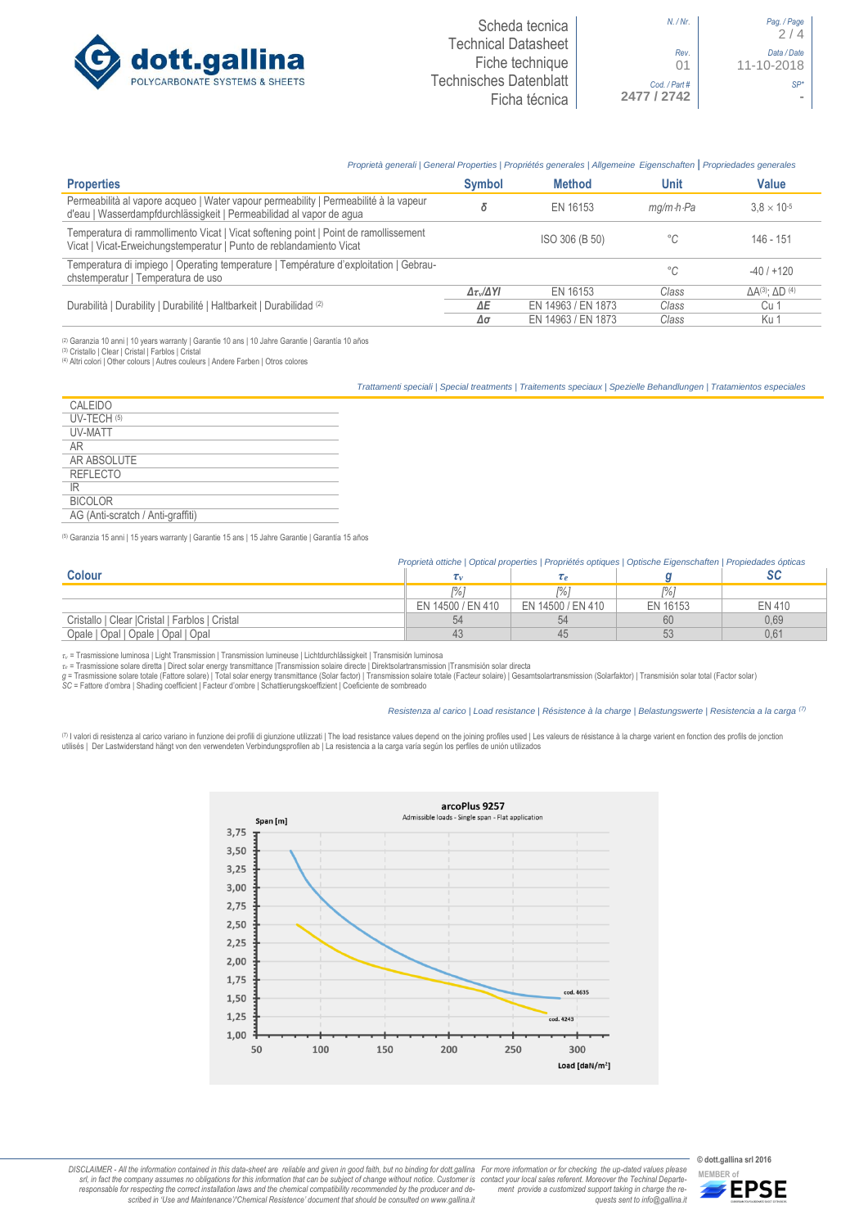

# *Proprietà generali | General Properties | Propriétés generales | Allgemeine Eigenschaften* **|** *Propriedades generales*

| <b>Properties</b>                                                                                                                                           | <b>Symbol</b>              | <b>Method</b>      | Unit                    | <b>Value</b>                        |
|-------------------------------------------------------------------------------------------------------------------------------------------------------------|----------------------------|--------------------|-------------------------|-------------------------------------|
| Permeabilità al vapore acqueo   Water vapour permeability   Permeabilité à la vapeur<br>d'eau   Wasserdampfdurchlässigkeit   Permeabilidad al vapor de agua |                            | EN 16153           | $ma/m \cdot h \cdot Pa$ | $3.8 \times 10^{-5}$                |
| Temperatura di rammollimento Vicat   Vicat softening point   Point de ramollissement<br>Vicat   Vicat-Erweichungstemperatur   Punto de reblandamiento Vicat |                            | ISO 306 (B 50)     | °C                      | $146 - 151$                         |
| Temperatura di impiego   Operating temperature   Température d'exploitation   Gebrau-<br>chstemperatur   Temperatura de uso                                 |                            |                    | °C                      | $-40/+120$                          |
|                                                                                                                                                             | $\Delta \tau_v/\Delta Y I$ | FN 16153           | Class                   | $\Delta A^{(3)}$ : $\Delta D^{(4)}$ |
| Durabilità   Durability   Durabilité   Haltbarkeit   Durabilidad (2)                                                                                        | ΔΕ                         | EN 14963 / EN 1873 | Class                   | Cu 1                                |
|                                                                                                                                                             | Δσ                         | EN 14963 / EN 1873 | Class                   | Ku 1                                |

(2) Garanzia 10 anni | 10 years warranty | Garantie 10 ans | 10 Jahre Garantie | Garantía 10 años

(3) Cristallo | Clear | Cristal | Farblos | Cristal (4) Altri colori | Other colours | Autres couleurs | Andere Farben | Otros colores

*Trattamenti speciali | Special treatments | Traitements speciaux | Spezielle Behandlungen | Tratamientos especiales*

| CALEIDO                           |
|-----------------------------------|
| UV-TECH (5)                       |
| UV-MATT                           |
| AR                                |
| AR ABSOLUTE                       |
| <b>REFLECTO</b>                   |
| ΙR                                |
| <b>BICOLOR</b>                    |
| AG (Anti-scratch / Anti-graffiti) |

(5) Garanzia 15 anni | 15 years warranty | Garantie 15 ans | 15 Jahre Garantie | Garantía 15 años

|                                                 | Proprietà ottiche   Optical properties   Propriétés optiques   Optische Eigenschaften   Propiedades ópticas |                   |          |        |
|-------------------------------------------------|-------------------------------------------------------------------------------------------------------------|-------------------|----------|--------|
| <b>Colour</b>                                   |                                                                                                             |                   |          |        |
|                                                 | r%'                                                                                                         |                   | l%i      |        |
|                                                 | EN 14500 / EN 410                                                                                           | EN 14500 / EN 410 | EN 16153 | EN 410 |
| Cristallo   Clear   Cristal   Farblos   Cristal | 54                                                                                                          | 54                | 60       | 0.69   |
| Opale   Opal   Opale   Opal   Opal              |                                                                                                             | 45                |          | 0.61   |

*τ<sup>v</sup>* = Trasmissione luminosa | Light Transmission | Transmission lumineuse | Lichtdurchlässigkeit | Transmisión luminosa

r∝ = Trasmissione solare diretta | Direct solar energy transmittance |Transmission solaire directe | Direktsolartransmission |Transmisión solar directa<br>g = Trasmissione solare totale (Fattore solare) | Total solar energy

# *Resistenza al carico | Load resistance | Résistence à la charge | Belastungswerte | Resistencia a la carga (7)*

(<sup>7)</sup> I valori di resistenza al carico variano in funzione dei profili di giunzione utilizzati | The load resistance values depend on the joining profiles used | Les valeurs de résistance à la charge varient en fonction d



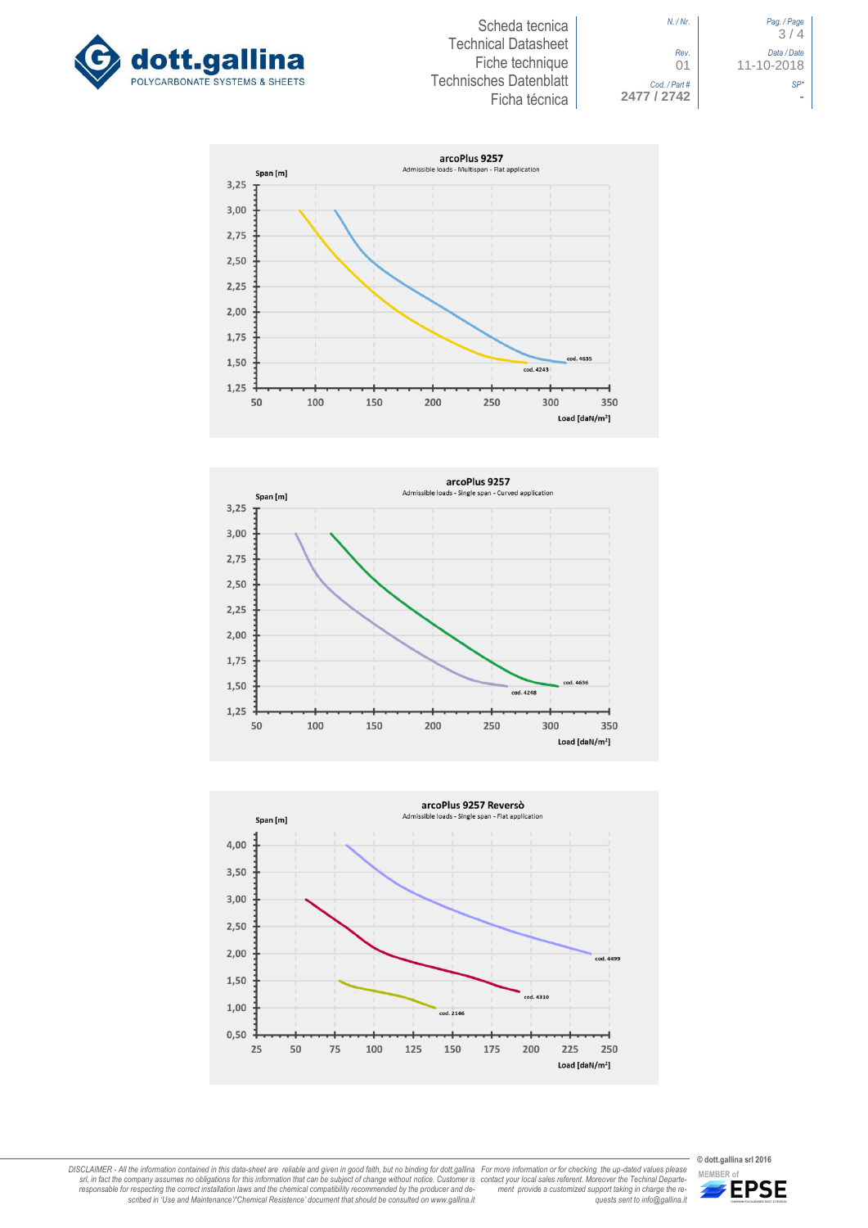



*N. / Nr*. *Pag. / Page* 3 / 4 *Rev*. *Data / Date* 01 11-10-2018 *Cod. / Part # SP\**









DISCLAIMER - All the information contained in this data-sheet are reliable and given in good faith, but no binding for dott.gallina<br>srl, in fact the company assumes no obligations for this information that can be subject o

**© dott.gallina srl 2016**